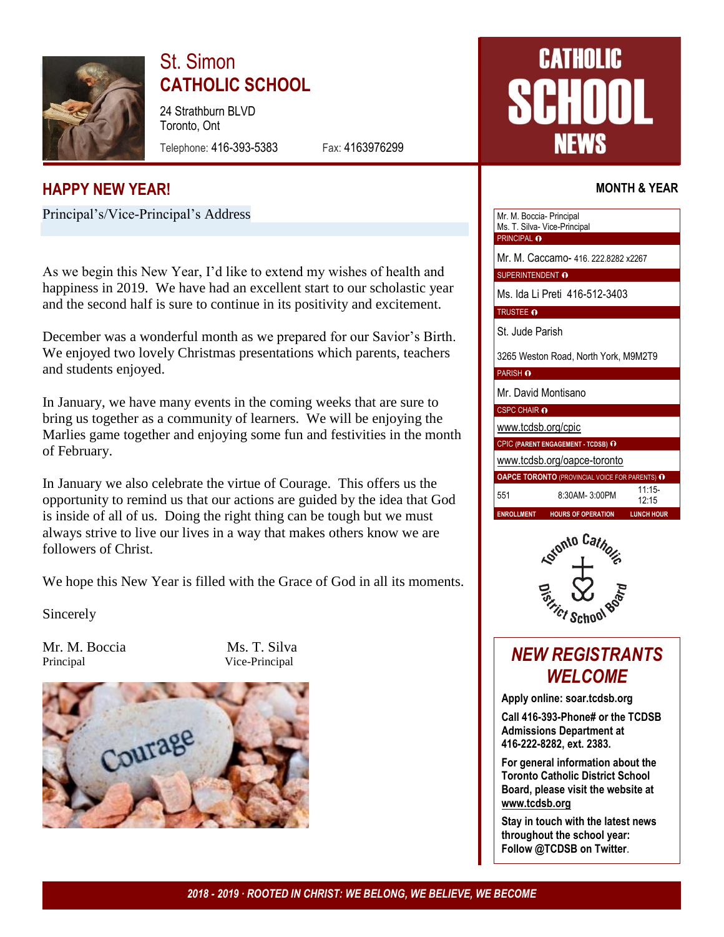

# St. Simon **CATHOLIC SCHOOL**

24 Strathburn BLVD Toronto, Ont

Telephone: 416-393-5383 Fax: 4163976299

# **CATHOLIC** NEWS

Mr. M. Boccia- Principal

## **MONTH & YEAR**

## **HAPPY NEW YEAR!**

Principal's/Vice-Principal's Address

As we begin this New Year, I'd like to extend my wishes of health and happiness in 2019. We have had an excellent start to our scholastic year and the second half is sure to continue in its positivity and excitement.

December was a wonderful month as we prepared for our Savior's Birth. We enjoyed two lovely Christmas presentations which parents, teachers and students enjoyed.

In January, we have many events in the coming weeks that are sure to bring us together as a community of learners. We will be enjoying the Marlies game together and enjoying some fun and festivities in the month of February.

In January we also celebrate the virtue of Courage. This offers us the opportunity to remind us that our actions are guided by the idea that God is inside of all of us. Doing the right thing can be tough but we must always strive to live our lives in a way that makes others know we are followers of Christ.

We hope this New Year is filled with the Grace of God in all its moments.

Sincerely

Mr. M. Boccia Ms. T. Silva Principal Vice-Principal



|                                      | Ms. T. Silva- Vice-Principal                          |                   |  |  |  |  |  |  |
|--------------------------------------|-------------------------------------------------------|-------------------|--|--|--|--|--|--|
| PRINCIPAL O                          |                                                       |                   |  |  |  |  |  |  |
| Mr. M. Caccamo- 416. 222.8282 x2267  |                                                       |                   |  |  |  |  |  |  |
| SUPERINTENDENT O                     |                                                       |                   |  |  |  |  |  |  |
| Ms. Ida Li Preti 416-512-3403        |                                                       |                   |  |  |  |  |  |  |
| <b>TRUSTEE O</b>                     |                                                       |                   |  |  |  |  |  |  |
| St. Jude Parish                      |                                                       |                   |  |  |  |  |  |  |
| 3265 Weston Road, North York, M9M2T9 |                                                       |                   |  |  |  |  |  |  |
| <b>PARISH O</b>                      |                                                       |                   |  |  |  |  |  |  |
| Mr. David Montisano                  |                                                       |                   |  |  |  |  |  |  |
| <b>CSPC CHAIR O</b>                  |                                                       |                   |  |  |  |  |  |  |
| www.tcdsb.org/cpic                   |                                                       |                   |  |  |  |  |  |  |
| CPIC (PARENT ENGAGEMENT - TCDSB) O   |                                                       |                   |  |  |  |  |  |  |
| www.tcdsb.org/oapce-toronto          |                                                       |                   |  |  |  |  |  |  |
|                                      | <b>OAPCE TORONTO (PROVINCIAL VOICE FOR PARENTS) O</b> |                   |  |  |  |  |  |  |
| 551                                  | 8:30AM-3:00PM                                         | $11:15-$<br>12.15 |  |  |  |  |  |  |
| <b>ENROLLMENT</b>                    | <b>HOURS OF OPERATION</b>                             | <b>LUNCH HOUR</b> |  |  |  |  |  |  |



# *NEW REGISTRANTS WELCOME*

**Apply online: soar.tcdsb.org**

**Call 416-393-Phone# or the TCDSB Admissions Department at 416-222-8282, ext. 2383.**

**For general information about the Toronto Catholic District School Board, please visit the website at [www.tcdsb.org](http://www.tcdsb.org/)**

**Stay in touch with the latest news throughout the school year: Follow @TCDSB on Twitter**.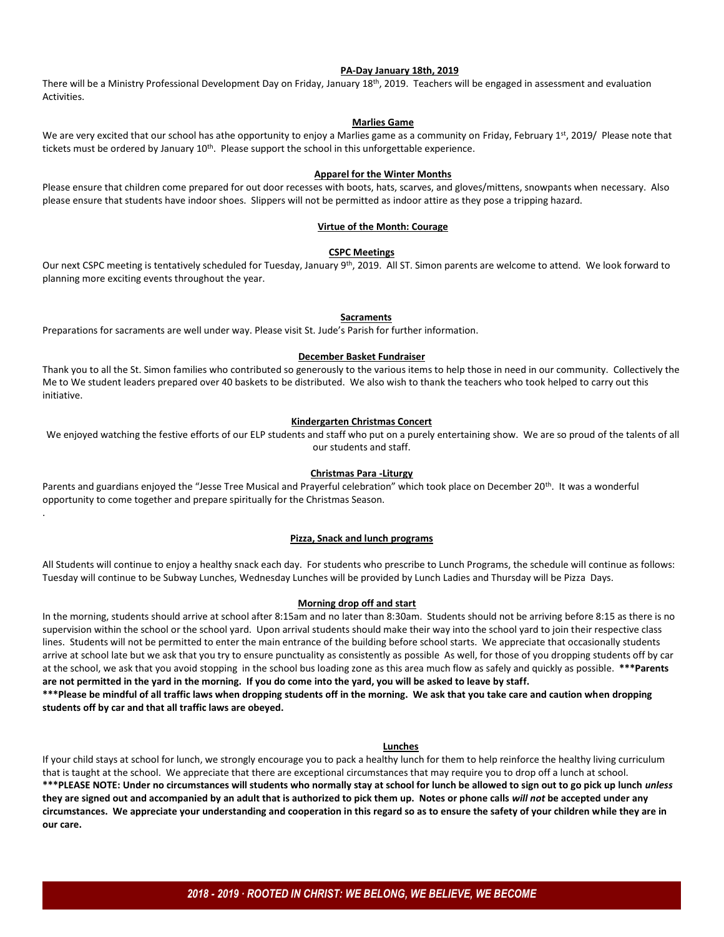#### **PA-Day January 18th, 2019**

There will be a Ministry Professional Development Day on Friday, January 18th, 2019. Teachers will be engaged in assessment and evaluation Activities.

#### **Marlies Game**

We are very excited that our school has athe opportunity to enjoy a Marlies game as a community on Friday, February 1st, 2019/ Please note that tickets must be ordered by January 10<sup>th</sup>. Please support the school in this unforgettable experience.

#### **Apparel for the Winter Months**

Please ensure that children come prepared for out door recesses with boots, hats, scarves, and gloves/mittens, snowpants when necessary. Also please ensure that students have indoor shoes. Slippers will not be permitted as indoor attire as they pose a tripping hazard.

#### **Virtue of the Month: Courage**

#### **CSPC Meetings**

Our next CSPC meeting is tentatively scheduled for Tuesday, January 9<sup>th</sup>, 2019. All ST. Simon parents are welcome to attend. We look forward to planning more exciting events throughout the year.

#### **Sacraments**

Preparations for sacraments are well under way. Please visit St. Jude's Parish for further information.

.

#### **December Basket Fundraiser**

Thank you to all the St. Simon families who contributed so generously to the various items to help those in need in our community. Collectively the Me to We student leaders prepared over 40 baskets to be distributed. We also wish to thank the teachers who took helped to carry out this initiative.

#### **Kindergarten Christmas Concert**

We enjoyed watching the festive efforts of our ELP students and staff who put on a purely entertaining show. We are so proud of the talents of all our students and staff.

#### **Christmas Para -Liturgy**

Parents and guardians enjoyed the "Jesse Tree Musical and Prayerful celebration" which took place on December 20<sup>th</sup>. It was a wonderful opportunity to come together and prepare spiritually for the Christmas Season.

#### **Pizza, Snack and lunch programs**

All Students will continue to enjoy a healthy snack each day. For students who prescribe to Lunch Programs, the schedule will continue as follows: Tuesday will continue to be Subway Lunches, Wednesday Lunches will be provided by Lunch Ladies and Thursday will be Pizza Days.

#### **Morning drop off and start**

In the morning, students should arrive at school after 8:15am and no later than 8:30am. Students should not be arriving before 8:15 as there is no supervision within the school or the school yard. Upon arrival students should make their way into the school yard to join their respective class lines. Students will not be permitted to enter the main entrance of the building before school starts. We appreciate that occasionally students arrive at school late but we ask that you try to ensure punctuality as consistently as possible As well, for those of you dropping students off by car at the school, we ask that you avoid stopping in the school bus loading zone as this area much flow as safely and quickly as possible. **\*\*\*Parents are not permitted in the yard in the morning. If you do come into the yard, you will be asked to leave by staff.**

**\*\*\*Please be mindful of all traffic laws when dropping students off in the morning. We ask that you take care and caution when dropping students off by car and that all traffic laws are obeyed.**

#### **Lunches**

If your child stays at school for lunch, we strongly encourage you to pack a healthy lunch for them to help reinforce the healthy living curriculum that is taught at the school. We appreciate that there are exceptional circumstances that may require you to drop off a lunch at school. **\*\*\*PLEASE NOTE: Under no circumstances will students who normally stay at school for lunch be allowed to sign out to go pick up lunch** *unless* **they are signed out and accompanied by an adult that is authorized to pick them up. Notes or phone calls** *will not* **be accepted under any circumstances. We appreciate your understanding and cooperation in this regard so as to ensure the safety of your children while they are in our care.**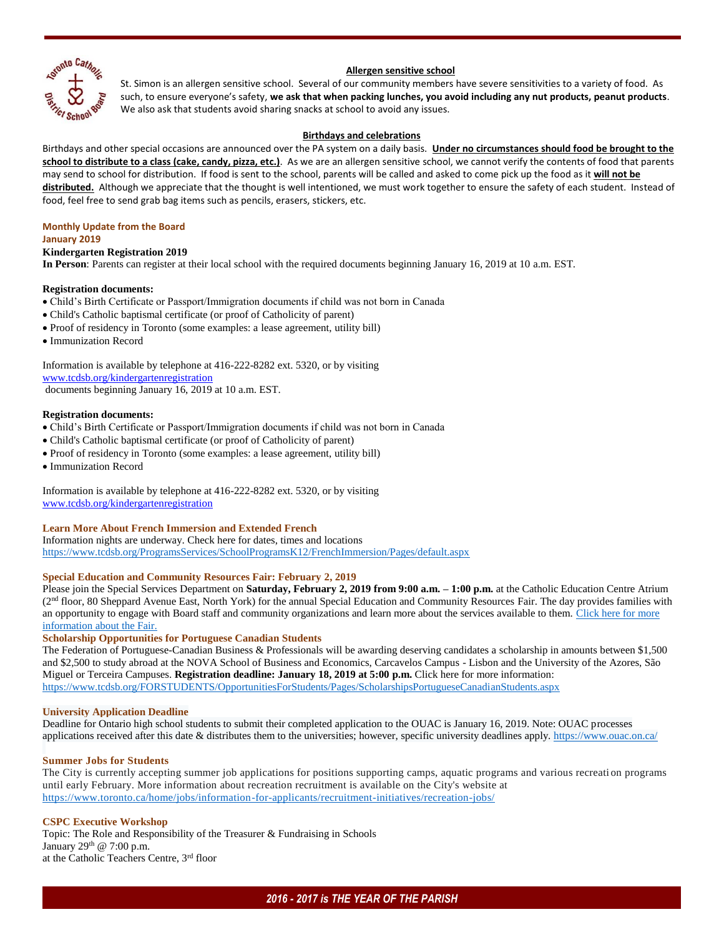

#### **Allergen sensitive school**

St. Simon is an allergen sensitive school. Several of our community members have severe sensitivities to a variety of food. As such, to ensure everyone's safety, **we ask that when packing lunches, you avoid including any nut products, peanut products**. We also ask that students avoid sharing snacks at school to avoid any issues.

#### **Birthdays and celebrations**

Birthdays and other special occasions are announced over the PA system on a daily basis. **Under no circumstances should food be brought to the school to distribute to a class (cake, candy, pizza, etc.)**. As we are an allergen sensitive school, we cannot verify the contents of food that parents may send to school for distribution. If food is sent to the school, parents will be called and asked to come pick up the food as it **will not be distributed.** Although we appreciate that the thought is well intentioned, we must work together to ensure the safety of each student. Instead of food, feel free to send grab bag items such as pencils, erasers, stickers, etc.

#### **Monthly Update from the Board January 2019**

#### **Kindergarten Registration 2019**

**In Person**: Parents can register at their local school with the required documents beginning January 16, 2019 at 10 a.m. EST.

#### **Registration documents:**

- Child's Birth Certificate or Passport/Immigration documents if child was not born in Canada
- Child's Catholic baptismal certificate (or proof of Catholicity of parent)
- Proof of residency in Toronto (some examples: a lease agreement, utility bill)
- Immunization Record

Information is available by telephone at 416-222-8282 ext. 5320, or by visiting [www.tcdsb.org/kindergartenregistration](http://www.tcdsb.org/kindergartenregistration) documents beginning January 16, 2019 at 10 a.m. EST.

#### **Registration documents:**

- Child's Birth Certificate or Passport/Immigration documents if child was not born in Canada
- Child's Catholic baptismal certificate (or proof of Catholicity of parent)
- Proof of residency in Toronto (some examples: a lease agreement, utility bill)
- Immunization Record

Information is available by telephone at 416-222-8282 ext. 5320, or by visiting [www.tcdsb.org/kindergartenregistration](http://www.tcdsb.org/kindergartenregistration)

#### **Learn More About French Immersion and Extended French**

Information nights are underway. Check here for dates, times and locations <https://www.tcdsb.org/ProgramsServices/SchoolProgramsK12/FrenchImmersion/Pages/default.aspx>

#### **Special Education and Community Resources Fair: February 2, 2019**

Please join the Special Services Department on **Saturday, February 2, 2019 from 9:00 a.m. – 1:00 p.m.** at the Catholic Education Centre Atrium (2<sup>nd</sup> floor, 80 Sheppard Avenue East, North York) for the annual Special Education and Community Resources Fair. The day provides families with an opportunity to engage with Board staff and community organizations and learn more about the services available to them. Click here for more [information about the Fair.](https://www.tcdsb.org/programsservices/specialeducation/newsevents/pages/special-education-and-community-resources-fair-.aspx)

#### **Scholarship Opportunities for Portuguese Canadian Students**

The Federation of Portuguese-Canadian Business & Professionals will be awarding deserving candidates a scholarship in amounts between \$1,500 and \$2,500 to study abroad at the NOVA School of Business and Economics, Carcavelos Campus - Lisbon and the University of the Azores, São Miguel or Terceira Campuses. **Registration deadline: January 18, 2019 at 5:00 p.m.** Click here for more information: <https://www.tcdsb.org/FORSTUDENTS/OpportunitiesForStudents/Pages/ScholarshipsPortugueseCanadianStudents.aspx>

#### **University Application Deadline**

Deadline for Ontario high school students to submit their completed application to the OUAC is January 16, 2019. Note: OUAC processes applications received after this date & distributes them to the universities; however, specific university deadlines apply. <https://www.ouac.on.ca/>

#### **Summer Jobs for Students**

The City is currently accepting summer job applications for positions supporting camps, aquatic programs and various recreati on programs until early February. More information about recreation recruitment is available on the City's website at <https://www.toronto.ca/home/jobs/information-for-applicants/recruitment-initiatives/recreation-jobs/>

#### **CSPC Executive Workshop**

Topic: The Role and Responsibility of the Treasurer & Fundraising in Schools January  $29<sup>th</sup>$  @ 7:00 p.m. at the Catholic Teachers Centre, 3rd floor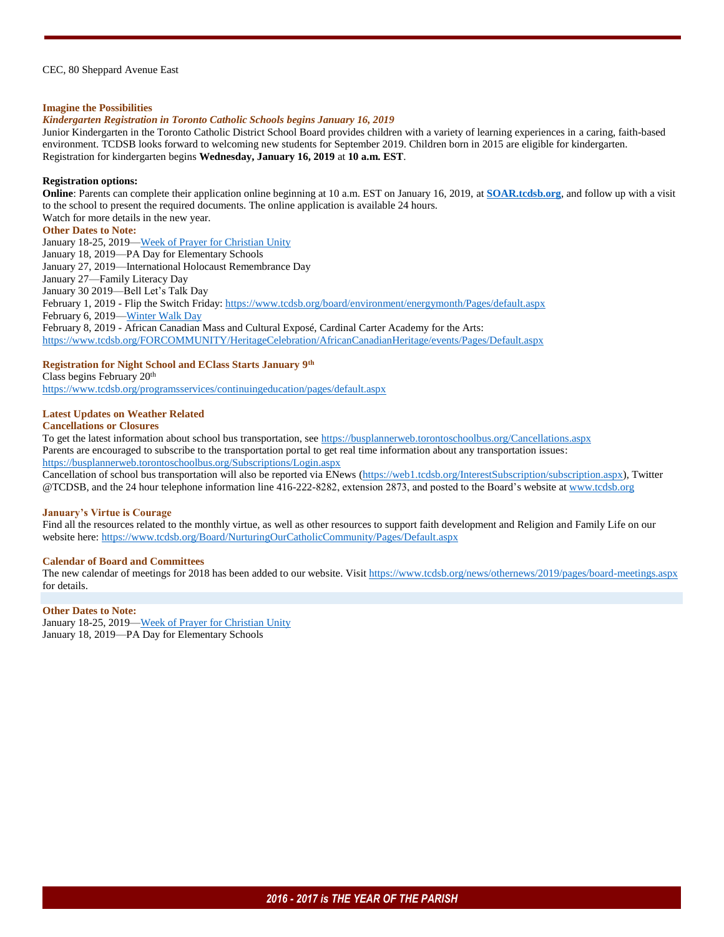#### CEC, 80 Sheppard Avenue East

#### **Imagine the Possibilities**

#### *Kindergarten Registration in Toronto Catholic Schools begins January 16, 2019*

Junior Kindergarten in the Toronto Catholic District School Board provides children with a variety of learning experiences in a caring, faith-based environment. TCDSB looks forward to welcoming new students for September 2019. Children born in 2015 are eligible for kindergarten. Registration for kindergarten begins **Wednesday, January 16, 2019** at **10 a.m. EST**.

#### **Registration options:**

**Online**: Parents can complete their application online beginning at 10 a.m. EST on January 16, 2019, at **[SOAR.tcdsb.org](https://soar.tcdsb.org/Login.aspx)**, and follow up with a visit to the school to present the required documents. The online application is available 24 hours. Watch for more details in the new year.

#### **Other Dates to Note:**

January 18-25, 2019-Week of Prayer for Christian Unity January 18, 2019—PA Day for Elementary Schools January 27, 2019—International Holocaust Remembrance Day January 27—Family Literacy Day January 30 2019—Bell Let's Talk Day February 1, 2019 - Flip the Switch Friday[: https://www.tcdsb.org/board/environment/energymonth/Pages/default.aspx](https://www.tcdsb.org/board/environment/energymonth/Pages/default.aspx) February 6, 2019[—Winter Walk Day](http://ontarioactiveschooltravel.ca/winter-walk-day/) February 8, 2019 - African Canadian Mass and Cultural Exposé, Cardinal Carter Academy for the Arts: <https://www.tcdsb.org/FORCOMMUNITY/HeritageCelebration/AfricanCanadianHeritage/events/Pages/Default.aspx>

#### **Registration for Night School and EClass Starts January 9th**

Class begins February 20th <https://www.tcdsb.org/programsservices/continuingeducation/pages/default.aspx>

#### **Latest Updates on Weather Related**

#### **Cancellations or Closures**

To get the latest information about school bus transportation, se[e https://busplannerweb.torontoschoolbus.org/Cancellations.aspx](https://busplannerweb.torontoschoolbus.org/Cancellations.aspx) Parents are encouraged to subscribe to the transportation portal to get real time information about any transportation issues: <https://busplannerweb.torontoschoolbus.org/Subscriptions/Login.aspx>

Cancellation of school bus transportation will also be reported via ENews [\(https://web1.tcdsb.org/InterestSubscription/subscription.aspx\)](https://web1.tcdsb.org/InterestSubscription/subscription.aspx), Twitter @TCDSB, and the 24 hour telephone information line 416-222-8282, extension 2873, and posted to the Board's website a[t www.tcdsb.org](http://www.tcdsb.org/)

#### **January's Virtue is Courage**

Find all the resources related to the monthly virtue, as well as other resources to support faith development and Religion and Family Life on our website here:<https://www.tcdsb.org/Board/NurturingOurCatholicCommunity/Pages/Default.aspx>

#### **Calendar of Board and Committees**

The new calendar of meetings for 2018 has been added to our website. Visit<https://www.tcdsb.org/news/othernews/2019/pages/board-meetings.aspx> for details.

#### **Other Dates to Note:**

January 18-25, 2019-Week of Prayer for Christian Unity January 18, 2019—PA Day for Elementary Schools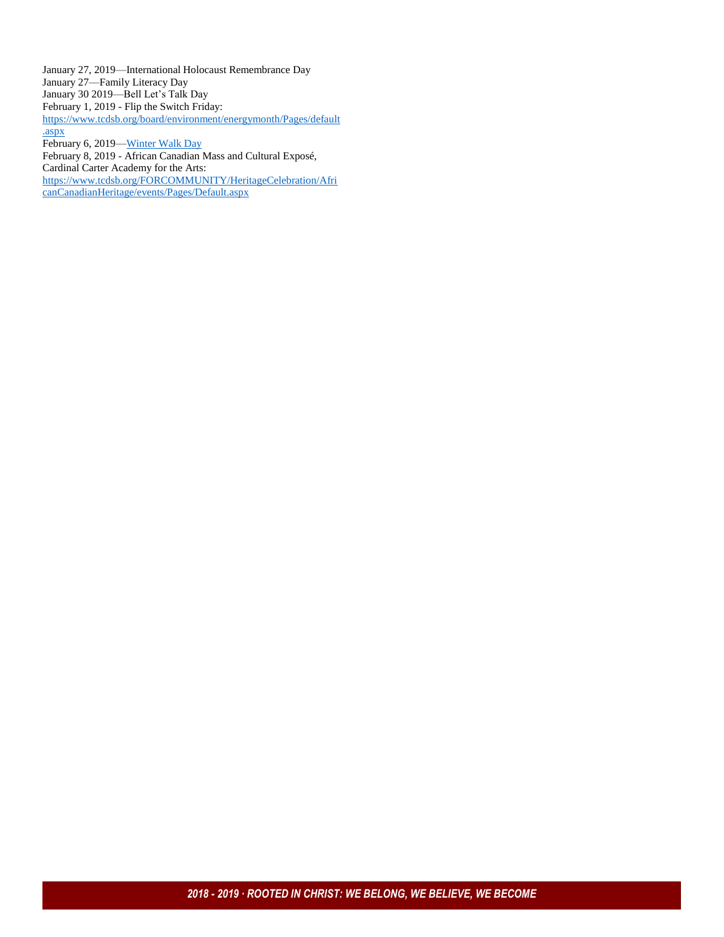January 27, 2019—International Holocaust Remembrance Day January 27—Family Literacy Day January 30 2019—Bell Let's Talk Day February 1, 2019 - Flip the Switch Friday: [https://www.tcdsb.org/board/environment/energymonth/Pages/default](https://www.tcdsb.org/board/environment/energymonth/Pages/default.aspx) [.aspx](https://www.tcdsb.org/board/environment/energymonth/Pages/default.aspx) February 6, 2019-*Winter Walk Day* February 8, 2019 - African Canadian Mass and Cultural Exposé, Cardinal Carter Academy for the Arts: [https://www.tcdsb.org/FORCOMMUNITY/HeritageCelebration/Afri](https://www.tcdsb.org/FORCOMMUNITY/HeritageCelebration/AfricanCanadianHeritage/events/Pages/Default.aspx) [canCanadianHeritage/events/Pages/Default.aspx](https://www.tcdsb.org/FORCOMMUNITY/HeritageCelebration/AfricanCanadianHeritage/events/Pages/Default.aspx)